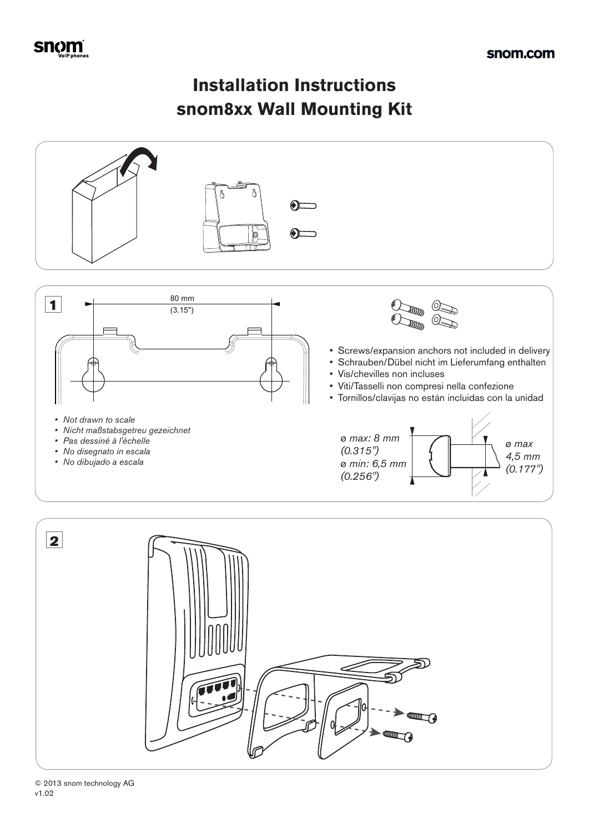## **Installation Instructions snom8xx Wall Mounting Kit**